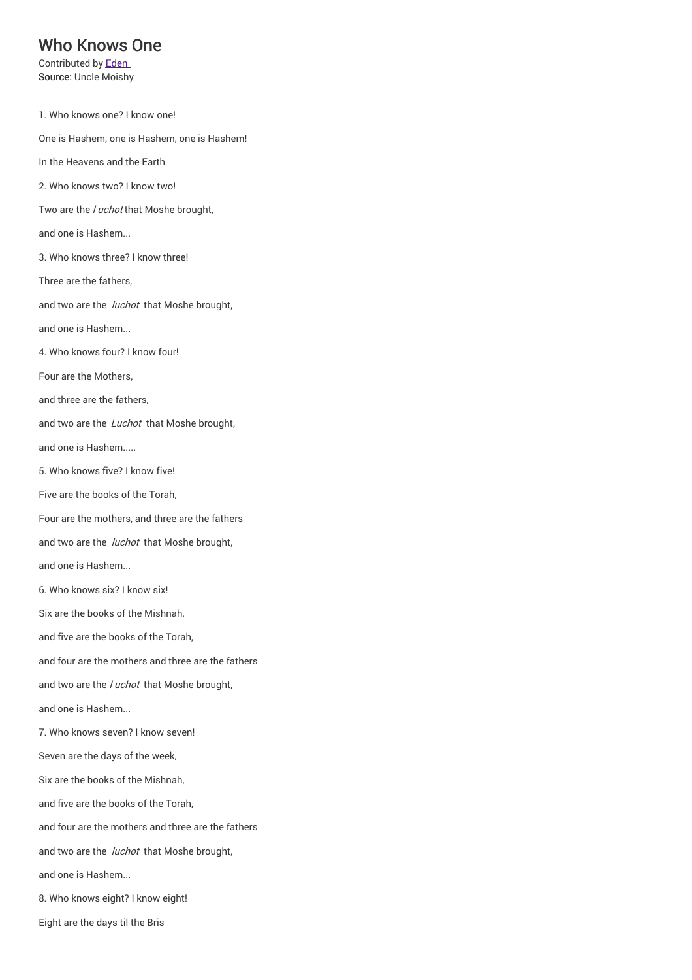## Who Knows One

Contributed by Eden Source: Uncle Moishy

1. Who knows one? I know one! One is Hashem, one is Hashem, one is Hashem! In the Heavens and the Earth 2. Who knows two? I know two! Two are the / uchot that Moshe brought, and one is Hashem... 3. Who knows three? I know three! Three are the fathers, and two are the *luchot* that Moshe brought, and one is Hashem... 4. Who knows four? I know four! Four are the Mothers, and three are the fathers, and two are the *Luchot* that Moshe brought, and one is Hashem..... 5. Who knows five? I know five! Five are the books of the Torah, Four are the mothers, and three are the fathers and two are the *luchot* that Moshe brought, and one is Hashem... 6. Who knows six? I know six! Six are the books of the Mishnah, and five are the books of the Torah, and four are the mothers and three are the fathers and two are the *luchot* that Moshe brought, and one is Hashem... 7. Who knows seven? I know seven! Seven are the days of the week, Six are the books of the Mishnah, and five are the books of the Torah, and four are the mothers and three are the fathers and two are the *luchot* that Moshe brought, and one is Hashem... 8. Who knows eight? I know eight! Eight are the days til the Bris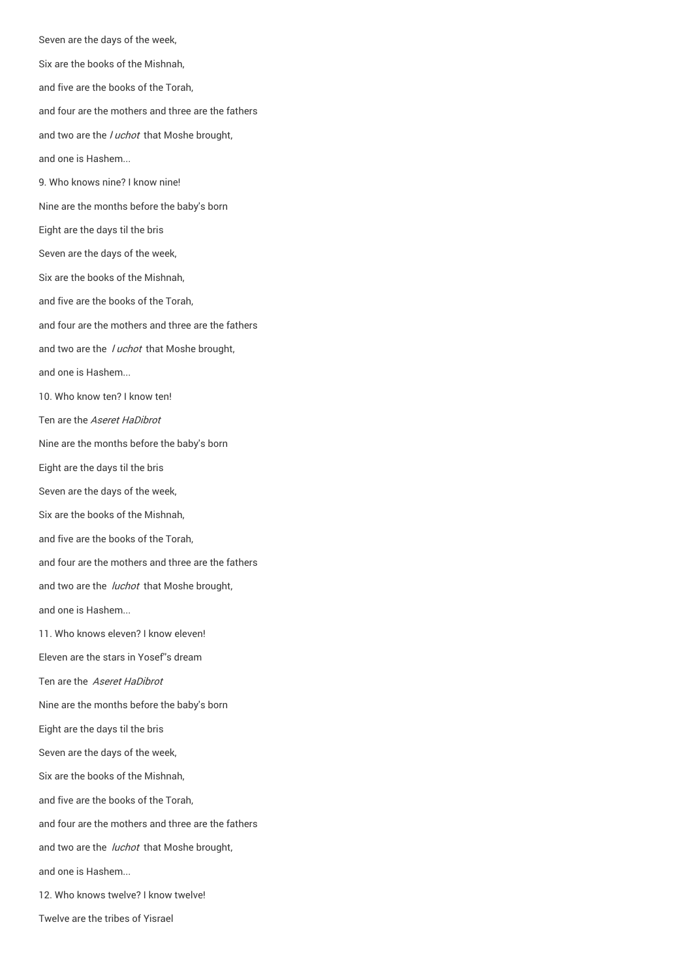Seven are the days of the week, Six are the books of the Mishnah, and five are the books of the Torah, and four are the mothers and three are the fathers and two are the *luchot* that Moshe brought, and one is Hashem... 9. Who knows nine? I know nine! Nine are the months before the baby's born Eight are the days til the bris Seven are the days of the week, Six are the books of the Mishnah, and five are the books of the Torah, and four are the mothers and three are the fathers and two are the *luchot* that Moshe brought, and one is Hashem... 10. Who know ten? I know ten! Ten are the Aseret HaDibrot Nine are the months before the baby's born Eight are the days til the bris Seven are the days of the week, Six are the books of the Mishnah, and five are the books of the Torah, and four are the mothers and three are the fathers and two are the *luchot* that Moshe brought, and one is Hashem... 11. Who knows eleven? I know eleven! Eleven are the stars in Yosef''s dream Ten are the Aseret HaDibrot Nine are the months before the baby's born Eight are the days til the bris Seven are the days of the week, Six are the books of the Mishnah, and five are the books of the Torah, and four are the mothers and three are the fathers and two are the *luchot* that Moshe brought, and one is Hashem... 12. Who knows twelve? I know twelve!

Twelve are the tribes of Yisrael